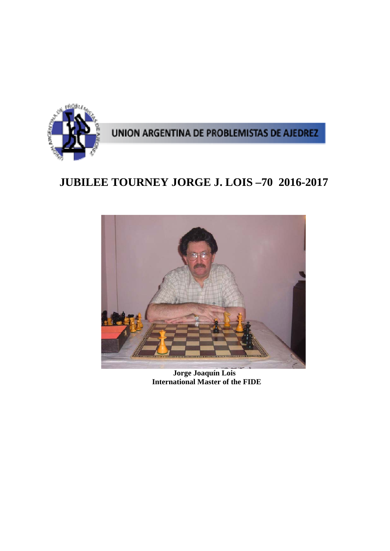

# **JUBILEE TOURNEY JORGE J. LOIS –70 2016-2017**



 **Jorge Joaquín Lois International Master of the FIDE**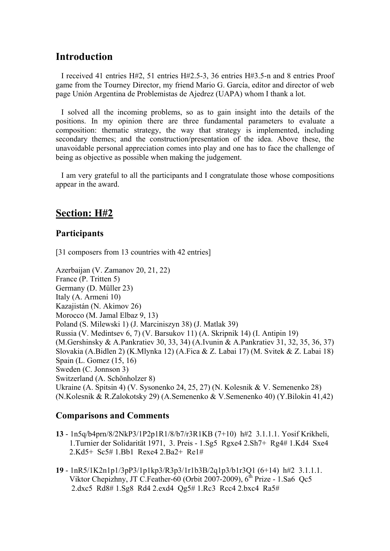# **Introduction**

I received 41 entries H#2, 51 entries H#2.5-3, 36 entries H#3.5-n and 8 entries Proof game from the Tourney Director, my friend Mario G. García, editor and director of web page Unión Argentina de Problemistas de Ajedrez (UAPA) whom I thank a lot.

I solved all the incoming problems, so as to gain insight into the details of the positions. In my opinion there are three fundamental parameters to evaluate a composition: thematic strategy, the way that strategy is implemented, including secondary themes; and the construction/presentation of the idea. Above these, the unavoidable personal appreciation comes into play and one has to face the challenge of being as objective as possible when making the judgement.

I am very grateful to all the participants and I congratulate those whose compositions appear in the award.

# **Section: H#2**

### **Participants**

[31 composers from 13 countries with 42 entries]

Azerbaijan (V. Zamanov 20, 21, 22) France (P. Tritten 5) Germany (D. Müller 23) Italy (A. Armeni 10) Kazajistán (N. Akimov 26) Morocco (M. Jamal Elbaz 9, 13) Poland (S. Milewski 1) (J. Marciniszyn 38) (J. Matlak 39) Russia (V. Medintsev 6, 7) (V. Barsukov 11) (A. Skripnik 14) (I. Antipin 19) (M.Gershinsky & A.Pankratiev 30, 33, 34) (A.Ivunin & A.Pankratiev 31, 32, 35, 36, 37) Slovakia (A.Bidlen 2) (K.Mlynka 12) (A.Fica & Z. Labai 17) (M. Svitek & Z. Labai 18) Spain (L. Gomez (15, 16) Sweden (C. Jonnson 3) Switzerland (A. Schönholzer 8) Ukraine (A. Spitsin 4) (V. Sysonenko 24, 25, 27) (N. Kolesnik & V. Semenenko 28) (N.Kolesnik & R.Zalokotsky 29) (A.Semenenko & V.Semenenko 40) (Y.Bilokin 41,42)

### **Comparisons and Comments**

- **13** 1n5q/b4prn/8/2NkP3/1P2p1R1/8/b7/r3R1KB (7+10) h#2 3.1.1.1. Yosif Krikheli, 1.Turnier der Solidarität 1971, 3. Preis - 1.Sg5 Rgxe4 2.Sh7+ Rg4# 1.Kd4 Sxe4 2.Kd5+ Sc5# 1.Bb1 Rexe4 2.Ba2+ Re1#
- **19** 1nR5/1K2n1p1/3pP3/1p1kp3/R3p3/1r1b3B/2q1p3/b1r3Q1 (6+14) h#2 3.1.1.1. Viktor Chepizhny, JT C.Feather-60 (Orbit 2007-2009), 6<sup>th</sup> Prize - 1.Sa6 Qc5 2.dxc5 Rd8# 1.Sg8 Rd4 2.exd4 Qg5# 1.Rc3 Rcc4 2.bxc4 Ra5#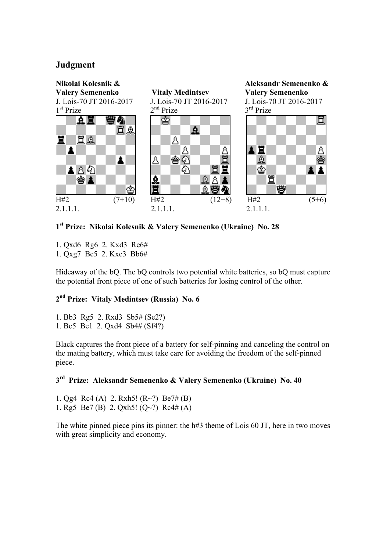### **Judgment**



**1st Prize: Nikolai Kolesnik & Valery Semenenko (Ukraine) No. 28** 

1. Qxd6 Rg6 2. Kxd3 Re6# 1. Qxg7 Bc5 2. Kxc3 Bb6#

Hideaway of the bQ. The bQ controls two potential white batteries, so bQ must capture the potential front piece of one of such batteries for losing control of the other.

### **2nd Prize: Vitaly Medintsev (Russia) No. 6**

1. Bb3 Rg5 2. Rxd3 Sb5# (Se2?) 1. Bc5 Be1 2. Qxd4 Sb4# (Sf4?)

Black captures the front piece of a battery for self-pinning and canceling the control on the mating battery, which must take care for avoiding the freedom of the self-pinned piece.

### **3rd Prize: Aleksandr Semenenko & Valery Semenenko (Ukraine) No. 40**

1. Og4 Rc4 (A) 2. Rxh5!  $(R<sup>2</sup>)$  Be7# (B) 1. Rg5 Be7 (B) 2. Qxh5!  $(Q~2)$  Rc4# (A)

The white pinned piece pins its pinner: the h#3 theme of Lois 60 JT, here in two moves with great simplicity and economy.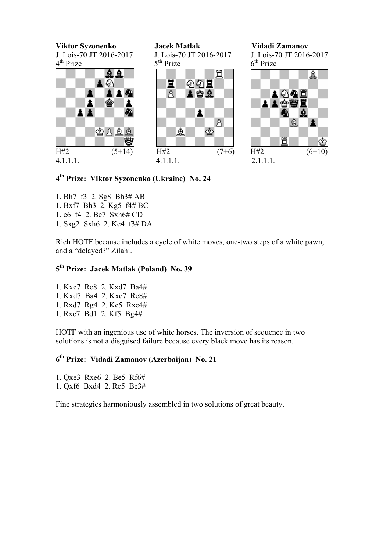**Viktor Syzonenko Jacek Matlak Vidadi Zamanov**



 $5<sup>th</sup>$  Prize



J. Lois-70 JT 2016-2017 <br>  $4^{\text{th}}$  Prize <br>  $5^{\text{th}}$  Prize <br>  $5^{\text{th}}$  Prize <br>  $5^{\text{th}}$  Prize  $5^{\text{th}}$  Prize  $5^{\text{th}}$  Prize



### **4th Prize: Viktor Syzonenko (Ukraine) No. 24**

- 1. Bh7 f3 2. Sg8 Bh3# AB
- 1. Bxf7 Bh3 2. Kg5 f4# BC
- 1. e6 f4 2. Be7 Sxh6# CD
- 1. Sxg2 Sxh6 2. Ke4 f3# DA

Rich HOTF because includes a cycle of white moves, one-two steps of a white pawn, and a "delayed?" Zilahi.

### **5th Prize: Jacek Matlak (Poland) No. 39**

1. Kxe7 Re8 2. Kxd7 Ba4# 1. Kxd7 Ba4 2. Kxe7 Re8# 1. Rxd7 Rg4 2. Ke5 Rxe4# 1. Rxe7 Bd1 2. Kf5 Bg4#

HOTF with an ingenious use of white horses. The inversion of sequence in two solutions is not a disguised failure because every black move has its reason.

### **6th Prize: Vidadi Zamanov (Azerbaijan) No. 21**

1. Qxe3 Rxe6 2. Be5 Rf6# 1. Qxf6 Bxd4 2. Re5 Be3#

Fine strategies harmoniously assembled in two solutions of great beauty.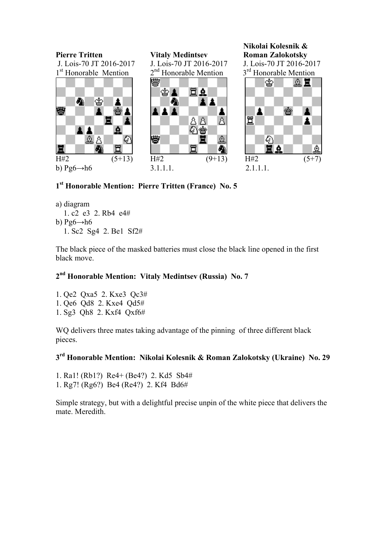

### **1st Honorable Mention: Pierre Tritten (France) No. 5**

a) diagram 1. c2 e3 2. Rb4 e4# b)  $Pg6 \rightarrow h6$ 1. Sc2 Sg4 2. Be1 Sf2#

The black piece of the masked batteries must close the black line opened in the first black move.

### **2nd Honorable Mention: Vitaly Medintsev (Russia) No. 7**

1. Qe2 Qxa5 2. Kxe3 Qc3# 1. Qe6 Qd8 2. Kxe4 Qd5# 1. Sg3 Qh8 2. Kxf4 Qxf6#

WQ delivers three mates taking advantage of the pinning of three different black pieces.

## **3rd Honorable Mention: Nikolai Kolesnik & Roman Zalokotsky (Ukraine) No. 29**

- 1. Ra1! (Rb1?) Re4+ (Be4?) 2. Kd5 Sb4#
- 1. Rg7! (Rg6?) Be4 (Re4?) 2. Kf4 Bd6#

Simple strategy, but with a delightful precise unpin of the white piece that delivers the mate. Meredith.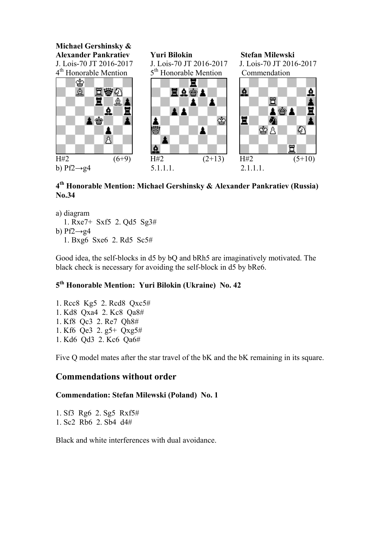

### **4th Honorable Mention: Michael Gershinsky & Alexander Pankratiev (Russia) No.34**

- a) diagram
- 1. Rxe7+ Sxf5 2. Qd5 Sg3# b)  $Pf2 \rightarrow g4$ 1. Bxg6 Sxe6 2. Rd5 Sc5#

Good idea, the self-blocks in d5 by bQ and bRh5 are imaginatively motivated. The black check is necessary for avoiding the self-block in d5 by bRe6.

### **5th Honorable Mention: Yuri Bilokin (Ukraine) No. 42**

1. Rcc8 Kg5 2. Rcd8 Qxc5# 1. Kd8 Qxa4 2. Kc8 Qa8# 1. Kf8 Qc3 2. Re7 Qh8# 1. Kf6 Qe3 2. g5+ Qxg5# 1. Kd6 Qd3 2. Kc6 Qa6#

Five Q model mates after the star travel of the bK and the bK remaining in its square.

### **Commendations without order**

### **Commendation: Stefan Milewski (Poland) No. 1**

1. Sf3 Rg6 2. Sg5 Rxf5# 1. Sc2 Rb6 2. Sb4 d4#

Black and white interferences with dual avoidance.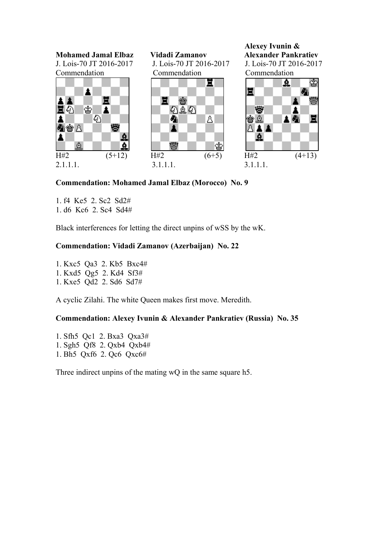

**Commendation: Mohamed Jamal Elbaz (Morocco) No. 9** 

1. f4 Ke5 2. Sc2 Sd2#

1. d6 Kc6 2. Sc4 Sd4#

Black interferences for letting the direct unpins of wSS by the wK.

### **Commendation: Vidadi Zamanov (Azerbaijan) No. 22**

1. Kxc5 Qa3 2. Kb5 Bxc4# 1. Kxd5 Qg5 2. Kd4 Sf3#

1. Kxe5 Qd2 2. Sd6 Sd7#

A cyclic Zilahi. The white Queen makes first move. Meredith.

### **Commendation: Alexey Ivunin & Alexander Pankratiev (Russia) No. 35**

1. Sfh5 Qc1 2. Bxa3 Qxa3# 1. Sgh5 Qf8 2. Qxb4 Qxb4# 1. Bh5 Qxf6 2. Qc6 Qxc6#

Three indirect unpins of the mating wQ in the same square h5.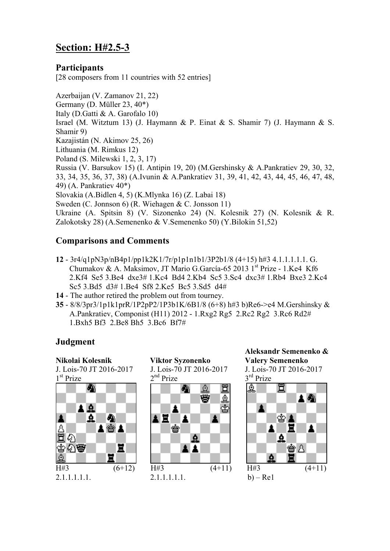# **Section: H#2.5-3**

### **Participants**

[28 composers from 11 countries with 52 entries]

Azerbaijan (V. Zamanov 21, 22) Germany (D. Müller 23, 40\*) Italy (D.Gatti & A. Garofalo 10) Israel (M. Witztum 13) (J. Haymann & P. Einat & S. Shamir 7) (J. Haymann & S. Shamir 9) Kazajistán (N. Akimov 25, 26) Lithuania (M. Rimkus 12) Poland (S. Milewski 1, 2, 3, 17) Russia (V. Barsukov 15) (I. Antipin 19, 20) (M.Gershinsky & A.Pankratiev 29, 30, 32, 33, 34, 35, 36, 37, 38) (A.Ivunin & A.Pankratiev 31, 39, 41, 42, 43, 44, 45, 46, 47, 48, 49) (A. Pankratiev 40\*) Slovakia (A.Bidlen 4, 5) (K.Mlynka 16) (Z. Labai 18) Sweden (C. Jonnson 6) (R. Wiehagen & C. Jonsson 11) Ukraine (A. Spitsin 8) (V. Sizonenko 24) (N. Kolesnik 27) (N. Kolesnik & R. Zalokotsky 28) (A.Semenenko & V.Semenenko 50) (Y.Bilokin 51,52)

### **Comparisons and Comments**

- **12**  3r4/q1pN3p/nB4p1/pp1k2K1/7r/p1p1n1b1/3P2b1/8 (4+15) h#3 4.1.1.1.1.1. G. Chumakov & A. Maksimov, JT Mario G.García-65 2013 1<sup>st</sup> Prize - 1.Ke4 Kf6 2.Kf4 Se5 3.Be4 dxe3# 1.Kc4 Bd4 2.Kb4 Sc5 3.Sc4 dxc3# 1.Rb4 Bxe3 2.Kc4 Sc5 3.Bd5 d3# 1.Be4 Sf8 2.Ke5 Bc5 3.Sd5 d4#
- **14** The author retired the problem out from tourney.
- **35** 8/8/3pr3/1p1k1prR/1P2pP2/1P3b1K/6B1/8 (6+8) h#3 b)Re6->e4 M.Gershinsky & A.Pankratiev, Componist (H11) 2012 - 1.Rxg2 Rg5 2.Rc2 Rg2 3.Rc6 Rd2# 1.Bxh5 Bf3 2.Be8 Bh5 3.Bc6 Bf7#

### **Judgment**



 $2<sup>nd</sup>$  Prize



 **Aleksandr Semenenko &** 

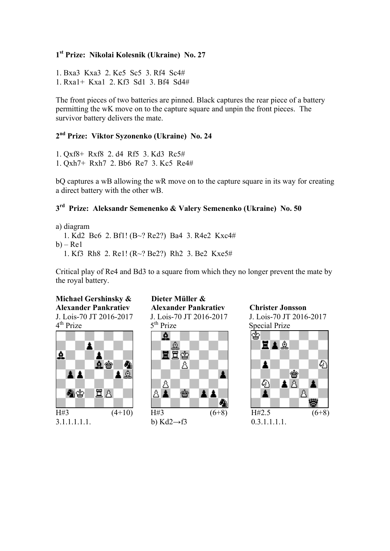### **1st Prize: Nikolai Kolesnik (Ukraine) No. 27**

1. Bxa3 Kxa3 2. Ke5 Sc5 3. Rf4 Sc4# 1. Rxa1+ Kxa1 2. Kf3 Sd1 3. Bf4 Sd4#

The front pieces of two batteries are pinned. Black captures the rear piece of a battery permitting the wK move on to the capture square and unpin the front pieces. The survivor battery delivers the mate.

### **2nd Prize: Viktor Syzonenko (Ukraine) No. 24**

1. Qxf8+ Rxf8 2. d4 Rf5 3. Kd3 Rc5# 1. Qxh7+ Rxh7 2. Bb6 Re7 3. Kc5 Re4#

bQ captures a wB allowing the wR move on to the capture square in its way for creating a direct battery with the other wB.

### **3rd Prize: Aleksandr Semenenko & Valery Semenenko (Ukraine) No. 50**

a) diagram

 1. Kd2 Bc6 2. Bf1! (B~? Re2?) Ba4 3. R4e2 Kxc4#  $b$ ) – Rel 1. Kf3 Rh8 2. Re1! (R~? Be2?) Rh2 3. Be2 Kxe5#

Critical play of Re4 and Bd3 to a square from which they no longer prevent the mate by the royal battery.

# **Michael Gershinsky & Dieter Müller &**



3.1.1.1.1.1. b) Kd2→f3 0.3.1.1.1.1.

# **Alexander Pankratiev Alexander Pankratiev Christer Jonsson** J. Lois-70 JT 2016-2017 <br>
4<sup>th</sup> Prize 5<sup>th</sup> Prize Special Prize Special Prize



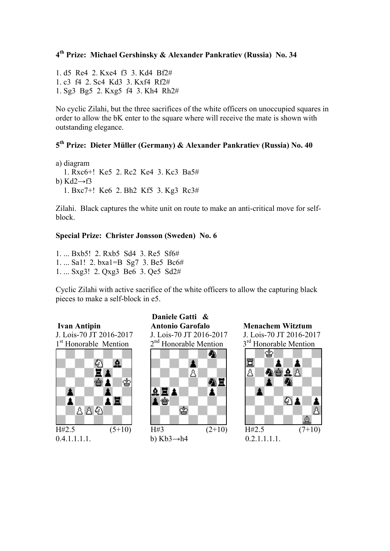### **4th Prize: Michael Gershinsky & Alexander Pankratiev (Russia) No. 34**

1. d5 Re4 2. Kxe4 f3 3. Kd4 Bf2# 1. c3 f4 2. Sc4 Kd3 3. Kxf4 Rf2# 1. Sg3 Bg5 2. Kxg5 f4 3. Kh4 Rh2#

No cyclic Zilahi, but the three sacrifices of the white officers on unoccupied squares in order to allow the bK enter to the square where will receive the mate is shown with outstanding elegance.

### **5th Prize: Dieter Müller (Germany) & Alexander Pankratiev (Russia) No. 40**

a) diagram 1. Rxc6+! Ke5 2. Rc2 Ke4 3. Kc3 Ba5# b) Kd2 $\rightarrow$ f3 1. Bxc7+! Ke6 2. Bh2 Kf5 3. Kg3 Rc3#

Zilahi. Black captures the white unit on route to make an anti-critical move for selfblock.

### **Special Prize: Christer Jonsson (Sweden) No. 6**

1. ... Bxb5! 2. Rxb5 Sd4 3. Re5 Sf6# 1. ... Sa1! 2. bxa1=B Sg7 3. Be5 Bc6# 1. ... Sxg3! 2. Qxg3 Be6 3. Qe5 Sd2#

Cyclic Zilahi with active sacrifice of the white officers to allow the capturing black pieces to make a self-block in e5.





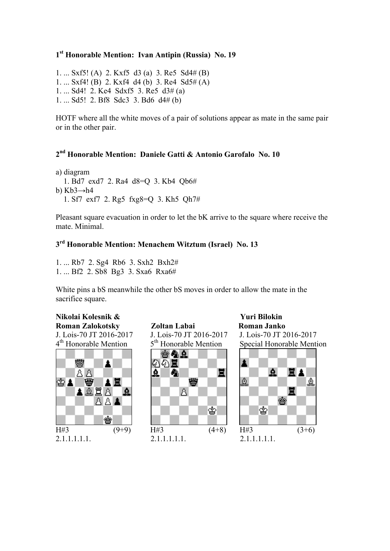### **1st Honorable Mention: Ivan Antipin (Russia) No. 19**

1. ... Sxf5! (A) 2. Kxf5 d3 (a) 3. Re5 Sd4# (B) 1. ... Sxf4! (B) 2. Kxf4 d4 (b) 3. Re4 Sd5# (A) 1. ... Sd4! 2. Ke4 Sdxf5 3. Re5 d3# (a) 1. ... Sd5! 2. Bf8 Sdc3 3. Bd6 d4# (b)

HOTF where all the white moves of a pair of solutions appear as mate in the same pair or in the other pair.

# **2nd Honorable Mention: Daniele Gatti & Antonio Garofalo No. 10**

a) diagram 1. Bd7 exd7 2. Ra4 d8=Q 3. Kb4 Qb6# b) Kb3→h4 1. Sf7 exf7 2. Rg5 fxg8=Q 3. Kh5 Qh7#

Pleasant square evacuation in order to let the bK arrive to the square where receive the mate. Minimal.

# **3rd Honorable Mention: Menachem Witztum (Israel) No. 13**

1. ... Rb7 2. Sg4 Rb6 3. Sxh2 Bxh2# 1. ... Bf2 2. Sb8 Bg3 3. Sxa6 Rxa6#

White pins a bS meanwhile the other bS moves in order to allow the mate in the sacrifice square.

# **Nikolai Kolesnik & Yuri Bilokin**

臠 圡 88 இ்த்| 豐 ▴▦ AĂĦĀT<br>Laaa R

**Roman Zalokotsky Zoltan Labai Roman Janko** J. Lois-70 JT 2016-2017 J. Lois-70 JT 2016-2017 J. Lois-70 JT 2016-2017  $4<sup>th</sup>$  Honorable Mention  $5<sup>th</sup>$  Honorable Mention Special Honorable Mention 台角点



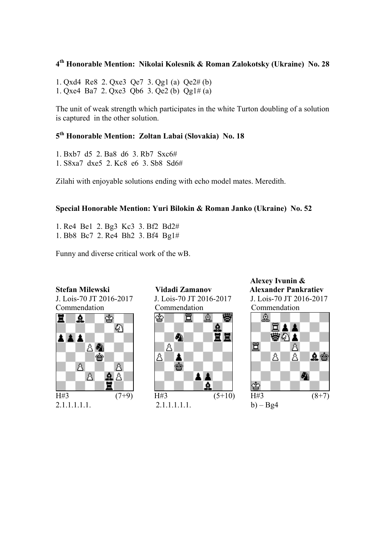## **4th Honorable Mention: Nikolai Kolesnik & Roman Zalokotsky (Ukraine) No. 28**

1. Qxd4 Re8 2. Qxe3 Qe7 3. Qg1 (a) Qe2# (b) 1. Qxe4 Ba7 2. Qxe3 Qb6 3. Qe2 (b) Qg1# (a)

The unit of weak strength which participates in the white Turton doubling of a solution is captured in the other solution.

### **5th Honorable Mention: Zoltan Labai (Slovakia) No. 18**

- 1. Bxb7 d5 2. Ba8 d6 3. Rb7 Sxc6#
- 1. S8xa7 dxe5 2. Kc8 e6 3. Sb8 Sd6#

Zilahi with enjoyable solutions ending with echo model mates. Meredith.

### **Special Honorable Mention: Yuri Bilokin & Roman Janko (Ukraine) No. 52**

1. Re4 Be1 2. Bg3 Kc3 3. Bf2 Bd2# 1. Bb8 Bc7 2. Re4 Bh2 3. Bf4 Bg1#

Funny and diverse critical work of the wB.



J. Lois-70 JT 2016-2017 J. Lois-70 JT 2016-2017 J. Lois-70 JT 2016-2017 Commendation Commendation Commendation

![](_page_11_Picture_14.jpeg)

2.1.1.1.1.1. 2.1.1.1.1.1. b) – Bg4

 **Alexey Ivunin & Stefan Milewski Vidadi Zamanov Alexander Pankratiev**

![](_page_11_Picture_17.jpeg)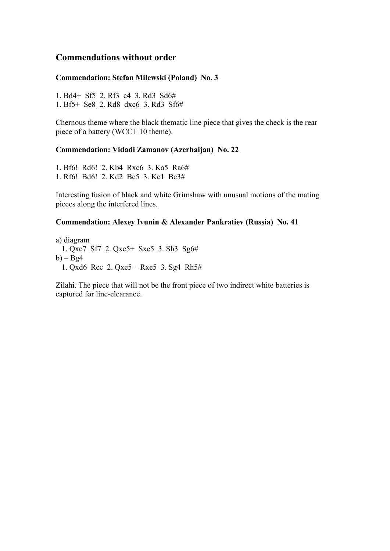### **Commendations without order**

### **Commendation: Stefan Milewski (Poland) No. 3**

1. Bd4+ Sf5 2. Rf3 c4 3. Rd3 Sd6# 1. Bf5+ Se8 2. Rd8 dxc6 3. Rd3 Sf6#

Chernous theme where the black thematic line piece that gives the check is the rear piece of a battery (WCCT 10 theme).

### **Commendation: Vidadi Zamanov (Azerbaijan) No. 22**

1. Bf6! Rd6! 2. Kb4 Rxc6 3. Ka5 Ra6# 1. Rf6! Bd6! 2. Kd2 Be5 3. Ke1 Bc3#

Interesting fusion of black and white Grimshaw with unusual motions of the mating pieces along the interfered lines.

#### **Commendation: Alexey Ivunin & Alexander Pankratiev (Russia) No. 41**

a) diagram 1. Qxc7 Sf7 2. Qxe5+ Sxe5 3. Sh3 Sg6#  $b$ ) – Bg4 1. Qxd6 Rcc 2. Qxe5+ Rxe5 3. Sg4 Rh5#

Zilahi. The piece that will not be the front piece of two indirect white batteries is captured for line-clearance.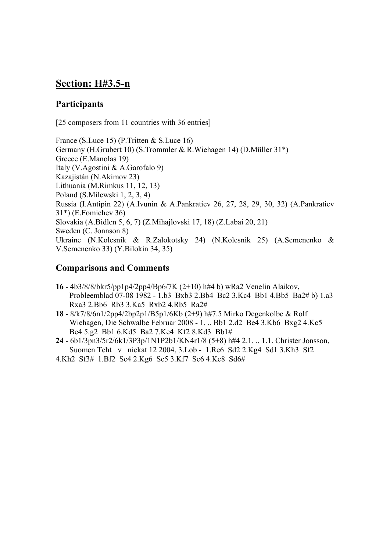# **Section: H#3.5-n**

### **Participants**

[25 composers from 11 countries with 36 entries]

France (S.Luce 15) (P.Tritten & S.Luce 16) Germany (H.Grubert 10) (S.Trommler & R.Wiehagen 14) (D.Müller 31\*) Greece (E.Manolas 19) Italy (V.Agostini & A.Garofalo 9) Kazajistán (N.Akimov 23) Lithuania (M.Rimkus 11, 12, 13) Poland (S.Milewski 1, 2, 3, 4) Russia (I.Antipin 22) (A.Ivunin & A.Pankratiev 26, 27, 28, 29, 30, 32) (A.Pankratiev 31\*) (E.Fomichev 36) Slovakia (A.Bidlen 5, 6, 7) (Z.Mihajlovski 17, 18) (Z.Labai 20, 21) Sweden (C. Jonnson 8) Ukraine (N.Kolesnik & R.Zalokotsky 24) (N.Kolesnik 25) (A.Semenenko & V.Semenenko 33) (Y.Bilokin 34, 35)

### **Comparisons and Comments**

- **16** 4b3/8/8/bkr5/pp1p4/2pp4/Bp6/7K (2+10) h#4 b) wRa2 Venelin Alaikov, Probleemblad 07-08 1982 - 1.b3 Bxb3 2.Bb4 Bc2 3.Kc4 Bb1 4.Bb5 Ba2# b) 1.a3 Rxa3 2.Bb6 Rb3 3.Ka5 Rxb2 4.Rb5 Ra2#
- **18** 8/k7/8/6n1/2pp4/2bp2p1/B5p1/6Kb (2+9) h#7.5 Mirko Degenkolbe & Rolf Wiehagen, Die Schwalbe Februar 2008 - 1. .. Bb1 2.d2 Be4 3.Kb6 Bxg2 4.Kc5 Be4 5.g2 Bb1 6.Kd5 Ba2 7.Ke4 Kf2 8.Kd3 Bb1#
- **24** 6b1/3pn3/5r2/6k1/3P3p/1N1P2b1/KN4r1/8 (5+8) h#4 2.1. .. 1.1. Christer Jonsson, Suomen Teht v niekat 12 2004, 3.Lob - 1.Re6 Sd2 2.Kg4 Sd1 3.Kh3 Sf2
- 4.Kh2 Sf3# 1.Bf2 Sc4 2.Kg6 Sc5 3.Kf7 Se6 4.Ke8 Sd6#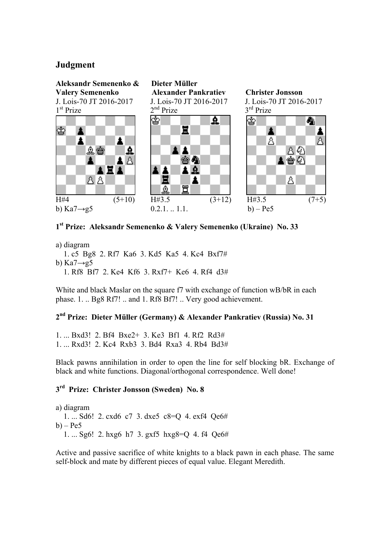### **Judgment**

![](_page_14_Figure_1.jpeg)

### **1st Prize: Aleksandr Semenenko & Valery Semenenko (Ukraine) No. 33**

a) diagram

 1. c5 Bg8 2. Rf7 Ka6 3. Kd5 Ka5 4. Kc4 Bxf7# b) Ka $7 \rightarrow 95$ 1. Rf8 Bf7 2. Ke4 Kf6 3. Rxf7+ Ke6 4. Rf4 d3#

White and black Maslar on the square f7 with exchange of function wB/bR in each phase. 1. .. Bg8 Rf7! .. and 1. Rf8 Bf7! .. Very good achievement.

### **2nd Prize: Dieter Müller (Germany) & Alexander Pankratiev (Russia) No. 31**

1. ... Bxd3! 2. Bf4 Bxe2+ 3. Ke3 Bf1 4. Rf2 Rd3# 1. ... Rxd3! 2. Kc4 Rxb3 3. Bd4 Rxa3 4. Rb4 Bd3#

Black pawns annihilation in order to open the line for self blocking bR. Exchange of black and white functions. Diagonal/orthogonal correspondence. Well done!

### **3rd Prize: Christer Jonsson (Sweden) No. 8**

a) diagram 1. ... Sd6! 2. cxd6 c7 3. dxe5 c8=Q 4. exf4 Qe6#  $b$ ) – Pe5 1. ... Sg6! 2. hxg6 h7 3. gxf5 hxg8=Q 4. f4 Qe6#

Active and passive sacrifice of white knights to a black pawn in each phase. The same self-block and mate by different pieces of equal value. Elegant Meredith.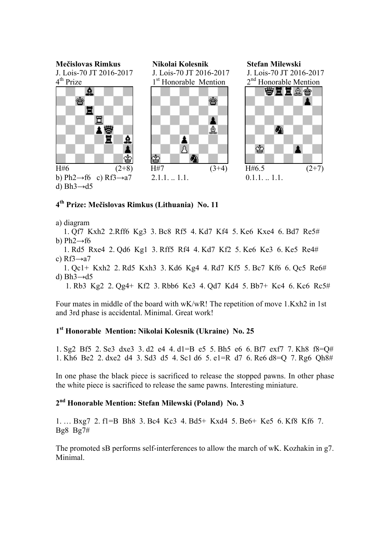![](_page_15_Figure_0.jpeg)

### **4th Prize: Mečislovas Rimkus (Lithuania) No. 11**

a) diagram

 1. Qf7 Kxh2 2.Rff6 Kg3 3. Bc8 Rf5 4. Kd7 Kf4 5. Ke6 Kxe4 6. Bd7 Re5# b) Ph2 $\rightarrow$ f6

 1. Rd5 Rxe4 2. Qd6 Kg1 3. Rff5 Rf4 4. Kd7 Kf2 5. Ke6 Ke3 6. Ke5 Re4# c)  $Rf3 \rightarrow a7$ 

 1. Qc1+ Kxh2 2. Rd5 Kxh3 3. Kd6 Kg4 4. Rd7 Kf5 5. Bc7 Kf6 6. Qc5 Re6# d)  $Bh3 \rightarrow d5$ 

1. Rb3 Kg2 2. Qg4+ Kf2 3. Rbb6 Ke3 4. Qd7 Kd4 5. Bb7+ Kc4 6. Kc6 Rc5#

Four mates in middle of the board with wK/wR! The repetition of move 1.Kxh2 in 1st and 3rd phase is accidental. Minimal. Great work!

### **1st Honorable Mention: Nikolai Kolesnik (Ukraine) No. 25**

1. Sg2 Bf5 2. Se3 dxe3 3. d2 e4 4. d1=B e5 5. Bh5 e6 6. Bf7 exf7 7. Kh8 f8=Q# 1. Kh6 Be2 2. dxe2 d4 3. Sd3 d5 4. Sc1 d6 5. e1=R d7 6. Re6 d8=Q 7. Rg6 Qh8#

In one phase the black piece is sacrificed to release the stopped pawns. In other phase the white piece is sacrificed to release the same pawns. Interesting miniature.

### **2nd Honorable Mention: Stefan Milewski (Poland) No. 3**

1. … Bxg7 2. f1=B Bh8 3. Bc4 Kc3 4. Bd5+ Kxd4 5. Be6+ Ke5 6. Kf8 Kf6 7. Bg8 Bg7#

The promoted sB performs self-interferences to allow the march of wK. Kozhakin in g7. Minimal.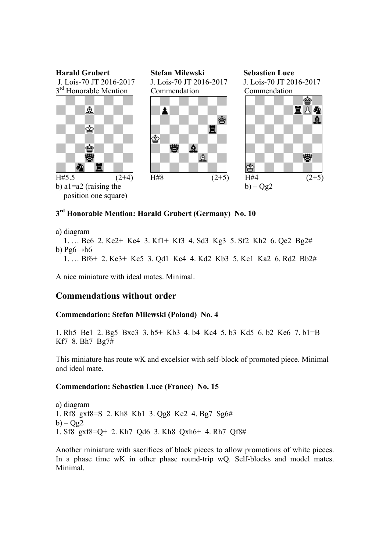![](_page_16_Figure_0.jpeg)

## **3rd Honorable Mention: Harald Grubert (Germany) No. 10**

```
a) diagram
```
 1. … Bc6 2. Ke2+ Ke4 3. Kf1+ Kf3 4. Sd3 Kg3 5. Sf2 Kh2 6. Qe2 Bg2# b)  $Pg6 \rightarrow h6$ 

1. … Bf6+ 2. Ke3+ Kc5 3. Qd1 Kc4 4. Kd2 Kb3 5. Kc1 Ka2 6. Rd2 Bb2#

A nice miniature with ideal mates. Minimal.

### **Commendations without order**

### **Commendation: Stefan Milewski (Poland) No. 4**

1. Rh5 Be1 2. Bg5 Bxc3 3. b5+ Kb3 4. b4 Kc4 5. b3 Kd5 6. b2 Ke6 7. b1=B Kf7 8. Bh7 Bg7#

This miniature has route wK and excelsior with self-block of promoted piece. Minimal and ideal mate.

### **Commendation: Sebastien Luce (France) No. 15**

a) diagram 1. Rf8 gxf8=S 2. Kh8 Kb1 3. Qg8 Kc2 4. Bg7 Sg6#  $b$ ) –  $Og2$ 1. Sf8 gxf8=Q+ 2. Kh7 Qd6 3. Kh8 Qxh6+ 4. Rh7 Qf8#

Another miniature with sacrifices of black pieces to allow promotions of white pieces. In a phase time wK in other phase round-trip wQ. Self-blocks and model mates. Minimal.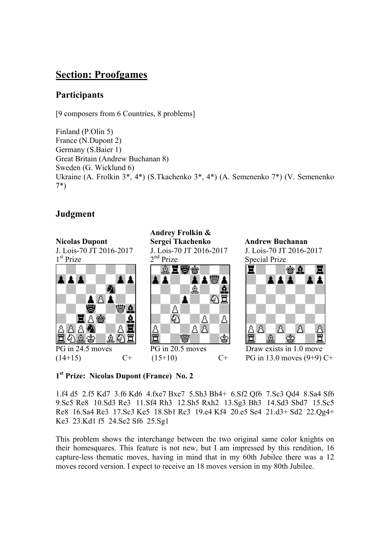# **Section: Proofgames**

### **Participants**

[9 composers from 6 Countries, 8 problems]

Finland (P.Olin 5) France (N.Dupont 2) Germany (S.Baier 1) Great Britain (Andrew Buchanan 8) Sweden (G. Wicklund 6) Ukraine (A. Frolkin 3\*, 4\*) (S.Tkachenko 3\*, 4\*) (A. Semenenko 7\*) (V. Semenenko 7\*)

### **Judgment**

![](_page_17_Figure_5.jpeg)

**1st Prize: Nicolas Dupont (France) No. 2** 

1.f4 d5 2.f5 Kd7 3.f6 Kd6 4.fxe7 Bxe7 5.Sh3 Bh4+ 6.Sf2 Qf6 7.Sc3 Qd4 8.Sa4 Sf6 9.Sc5 Re8 10.Sd3 Re3 11.Sf4 Rh3 12.Sh5 Rxh2 13.Sg3 Bh3 14.Sd3 Sbd7 15.Sc5 Re8 16.Sa4 Re3 17.Sc3 Ke5 18.Sb1 Rc3 19.e4 Kf4 20.e5 Se4 21.d3+ Sd2 22.Qg4+ Ke3 23.Kd1 f5 24.Se2 Sf6 25.Sg1

This problem shows the interchange between the two original same color knights on their homesquares. This feature is not new, but I am impressed by this rendition, 16 capture-less thematic moves, having in mind that in my 60th Jubilee there was a 12 moves record version. I expect to receive an 18 moves version in my 80th Jubilee.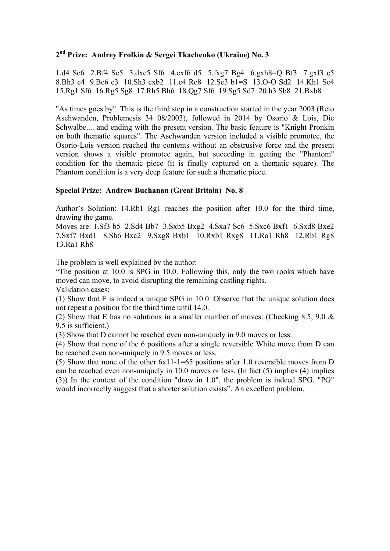### **2nd Prize: Andrey Frolkin & Sergei Tkachenko (Ukraine) No. 3**

1.d4 Sc6 2.Bf4 Se5 3.dxe5 Sf6 4.exf6 d5 5.fxg7 Bg4 6.gxh8=Q Bf3 7.gxf3 c5 8.Bh3 c4 9.Be6 c3 10.Sh3 cxb2 11.c4 Rc8 12.Sc3 b1=S 13.O-O Sd2 14.Kh1 Se4 15.Rg1 Sf6 16.Rg5 Sg8 17.Rh5 Bh6 18.Qg7 Sf6 19.Sg5 Sd7 20.h3 Sb8 21.Bxb8

"As times goes by". This is the third step in a construction started in the year 2003 (Reto Aschwanden, Problemesis 34 08/2003), followed in 2014 by Osorio & Lois, Die Schwalbe.... and ending with the present version. The basic feature is "Knight Pronkin on both thematic squares". The Aschwanden version included a visible promotee, the Osorio-Lois version reached the contents without an obstrusive force and the present version shows a visible promotee again, but succeding in getting the "Phantom" condition for the thematic piece (it is finally captured on a thematic square). The Phantom condition is a very deep feature for such a thematic piece.

### **Special Prize: Andrew Buchanan (Great Britain) No. 8**

Author's Solution: 14.Rb1 Rg1 reaches the position after 10.0 for the third time, drawing the game.

Moves are: 1.Sf3 b5 2.Sd4 Bb7 3.Sxb5 Bxg2 4.Sxa7 Sc6 5.Sxc6 Bxf1 6.Sxd8 Bxe2 7.Sxf7 Bxd1 8.Sh6 Bxc2 9.Sxg8 Bxb1 10.Rxb1 Rxg8 11.Ra1 Rh8 12.Rb1 Rg8 13.Ra1 Rh8

The problem is well explained by the author:

"The position at 10.0 is SPG in 10.0. Following this, only the two rooks which have moved can move, to avoid disrupting the remaining castling rights.

Validation cases:

(1) Show that E is indeed a unique SPG in 10.0. Observe that the unique solution does not repeat a position for the third time until 14.0.

(2) Show that E has no solutions in a smaller number of moves. (Checking 8.5, 9.0 & 9.5 is sufficient.)

(3) Show that D cannot be reached even non-uniquely in 9.0 moves or less.

(4) Show that none of the 6 positions after a single reversible White move from D can be reached even non-uniquely in 9.5 moves or less.

(5) Show that none of the other 6x11-1=65 positions after 1.0 reversible moves from D can be reached even non-uniquely in 10.0 moves or less. (In fact (5) implies (4) implies (3)) In the context of the condition "draw in 1.0", the problem is indeed SPG. "PG" would incorrectly suggest that a shorter solution exists". An excellent problem.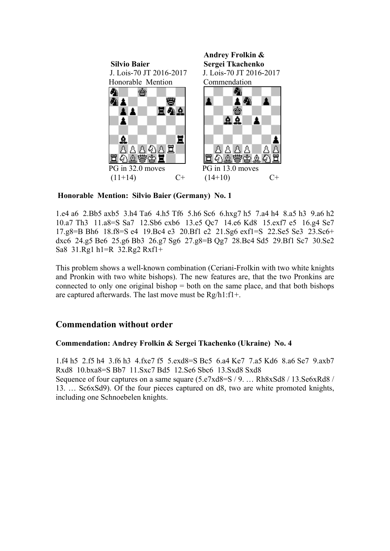![](_page_19_Picture_0.jpeg)

 **Honorable Mention: Silvio Baier (Germany) No. 1** 

1.e4 a6 2.Bb5 axb5 3.h4 Ta6 4.h5 Tf6 5.h6 Sc6 6.hxg7 h5 7.a4 h4 8.a5 h3 9.a6 h2 10.a7 Th3 11.a8=S Sa7 12.Sb6 cxb6 13.e5 Qc7 14.e6 Kd8 15.exf7 e5 16.g4 Se7 17.g8=B Bh6 18.f8=S e4 19.Bc4 e3 20.Bf1 e2 21.Sg6 exf1=S 22.Se5 Se3 23.Sc6+ dxc6 24.g5 Be6 25.g6 Bb3 26.g7 Sg6 27.g8=B Qg7 28.Bc4 Sd5 29.Bf1 Sc7 30.Se2 Sa8 31.Rg1 h1=R 32.Rg2 Rxf1+

This problem shows a well-known combination (Ceriani-Frolkin with two white knights and Pronkin with two white bishops). The new features are, that the two Pronkins are connected to only one original bishop  $=$  both on the same place, and that both bishops are captured afterwards. The last move must be Rg/h1:f1+.

### **Commendation without order**

### **Commendation: Andrey Frolkin & Sergei Tkachenko (Ukraine) No. 4**

1.f4 h5 2.f5 h4 3.f6 h3 4.fxe7 f5 5.exd8=S Bc5 6.a4 Ke7 7.a5 Kd6 8.a6 Se7 9.axb7 Rxd8 10.bxa8=S Bb7 11.Sxc7 Bd5 12.Se6 Sbc6 13.Sxd8 Sxd8 Sequence of four captures on a same square (5.e7xd8=S / 9. ... Rh8xSd8 / 13.Se6xRd8 / 13. … Sc6xSd9). Of the four pieces captured on d8, two are white promoted knights, including one Schnoebelen knights.